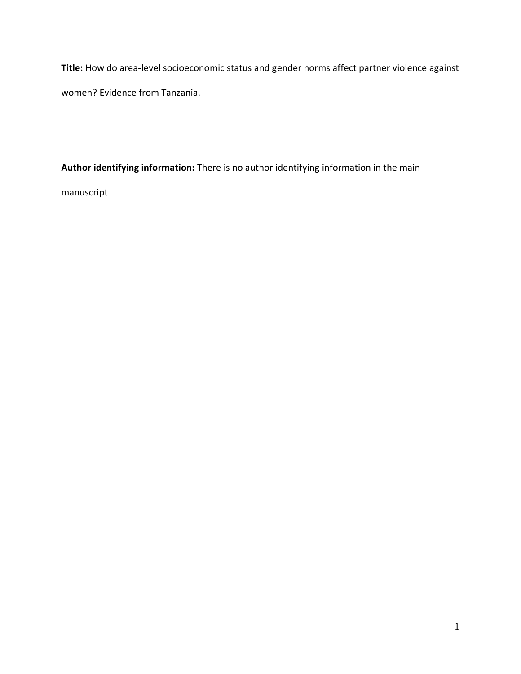**Title:** How do area-level socioeconomic status and gender norms affect partner violence against women? Evidence from Tanzania.

**Author identifying information:** There is no author identifying information in the main

manuscript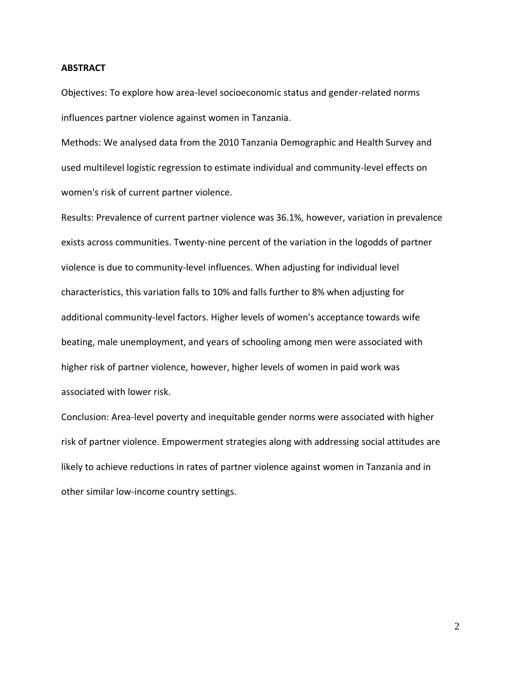## **ABSTRACT**

Objectives: To explore how area-level socioeconomic status and gender-related norms influences partner violence against women in Tanzania.

Methods: We analysed data from the 2010 Tanzania Demographic and Health Survey and used multilevel logistic regression to estimate individual and community-level effects on women's risk of current partner violence.

Results: Prevalence of current partner violence was 36.1%, however, variation in prevalence exists across communities. Twenty-nine percent of the variation in the logodds of partner violence is due to community-level influences. When adjusting for individual level characteristics, this variation falls to 10% and falls further to 8% when adjusting for additional community-level factors. Higher levels of women's acceptance towards wife beating, male unemployment, and years of schooling among men were associated with higher risk of partner violence, however, higher levels of women in paid work was associated with lower risk.

Conclusion: Area-level poverty and inequitable gender norms were associated with higher risk of partner violence. Empowerment strategies along with addressing social attitudes are likely to achieve reductions in rates of partner violence against women in Tanzania and in other similar low-income country settings.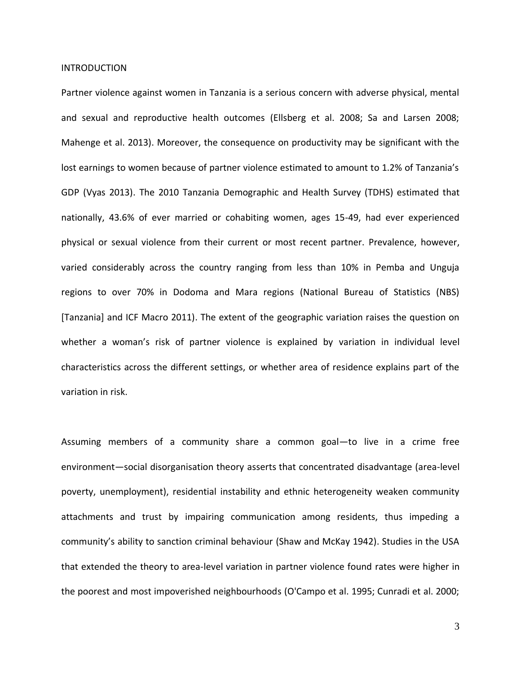### INTRODUCTION

Partner violence against women in Tanzania is a serious concern with adverse physical, mental and sexual and reproductive health outcomes (Ellsberg et al. 2008; Sa and Larsen 2008; Mahenge et al. 2013). Moreover, the consequence on productivity may be significant with the lost earnings to women because of partner violence estimated to amount to 1.2% of Tanzania's GDP (Vyas 2013). The 2010 Tanzania Demographic and Health Survey (TDHS) estimated that nationally, 43.6% of ever married or cohabiting women, ages 15-49, had ever experienced physical or sexual violence from their current or most recent partner. Prevalence, however, varied considerably across the country ranging from less than 10% in Pemba and Unguja regions to over 70% in Dodoma and Mara regions (National Bureau of Statistics (NBS) [Tanzania] and ICF Macro 2011). The extent of the geographic variation raises the question on whether a woman's risk of partner violence is explained by variation in individual level characteristics across the different settings, or whether area of residence explains part of the variation in risk.

Assuming members of a community share a common goal—to live in a crime free environment—social disorganisation theory asserts that concentrated disadvantage (area-level poverty, unemployment), residential instability and ethnic heterogeneity weaken community attachments and trust by impairing communication among residents, thus impeding a community's ability to sanction criminal behaviour (Shaw and McKay 1942). Studies in the USA that extended the theory to area-level variation in partner violence found rates were higher in the poorest and most impoverished neighbourhoods (O'Campo et al. 1995; Cunradi et al. 2000;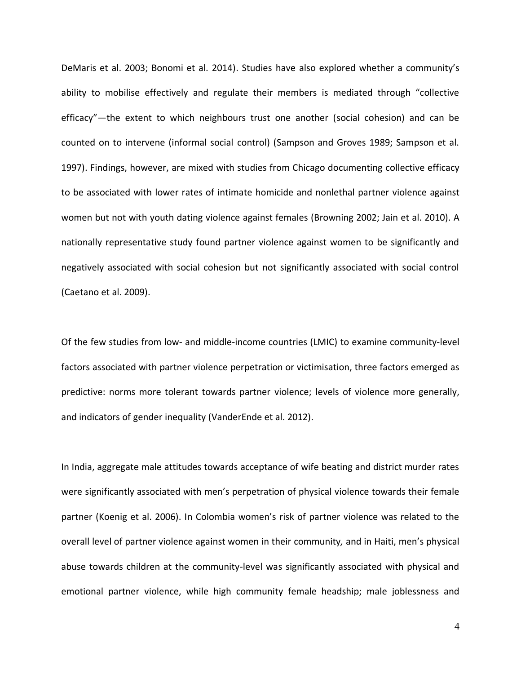DeMaris et al. 2003; Bonomi et al. 2014). Studies have also explored whether a community's ability to mobilise effectively and regulate their members is mediated through "collective efficacy"—the extent to which neighbours trust one another (social cohesion) and can be counted on to intervene (informal social control) (Sampson and Groves 1989; Sampson et al. 1997). Findings, however, are mixed with studies from Chicago documenting collective efficacy to be associated with lower rates of intimate homicide and nonlethal partner violence against women but not with youth dating violence against females (Browning 2002; Jain et al. 2010). A nationally representative study found partner violence against women to be significantly and negatively associated with social cohesion but not significantly associated with social control (Caetano et al. 2009).

Of the few studies from low- and middle-income countries (LMIC) to examine community-level factors associated with partner violence perpetration or victimisation, three factors emerged as predictive: norms more tolerant towards partner violence; levels of violence more generally, and indicators of gender inequality (VanderEnde et al. 2012).

In India, aggregate male attitudes towards acceptance of wife beating and district murder rates were significantly associated with men's perpetration of physical violence towards their female partner (Koenig et al. 2006). In Colombia women's risk of partner violence was related to the overall level of partner violence against women in their community*,* and in Haiti, men's physical abuse towards children at the community-level was significantly associated with physical and emotional partner violence, while high community female headship; male joblessness and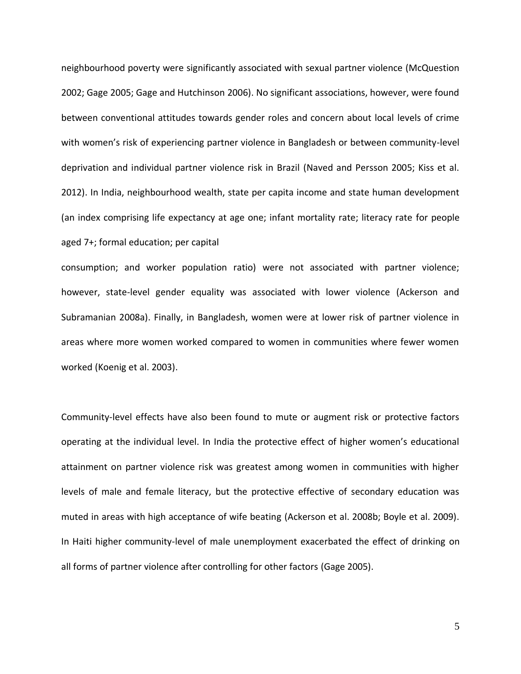neighbourhood poverty were significantly associated with sexual partner violence (McQuestion 2002; Gage 2005; Gage and Hutchinson 2006). No significant associations, however, were found between conventional attitudes towards gender roles and concern about local levels of crime with women's risk of experiencing partner violence in Bangladesh or between community-level deprivation and individual partner violence risk in Brazil (Naved and Persson 2005; Kiss et al. 2012). In India, neighbourhood wealth, state per capita income and state human development (an index comprising life expectancy at age one; infant mortality rate; literacy rate for people aged 7+; formal education; per capital

consumption; and worker population ratio) were not associated with partner violence; however, state-level gender equality was associated with lower violence (Ackerson and Subramanian 2008a). Finally, in Bangladesh, women were at lower risk of partner violence in areas where more women worked compared to women in communities where fewer women worked (Koenig et al. 2003).

Community-level effects have also been found to mute or augment risk or protective factors operating at the individual level. In India the protective effect of higher women's educational attainment on partner violence risk was greatest among women in communities with higher levels of male and female literacy, but the protective effective of secondary education was muted in areas with high acceptance of wife beating (Ackerson et al. 2008b; Boyle et al. 2009). In Haiti higher community-level of male unemployment exacerbated the effect of drinking on all forms of partner violence after controlling for other factors (Gage 2005).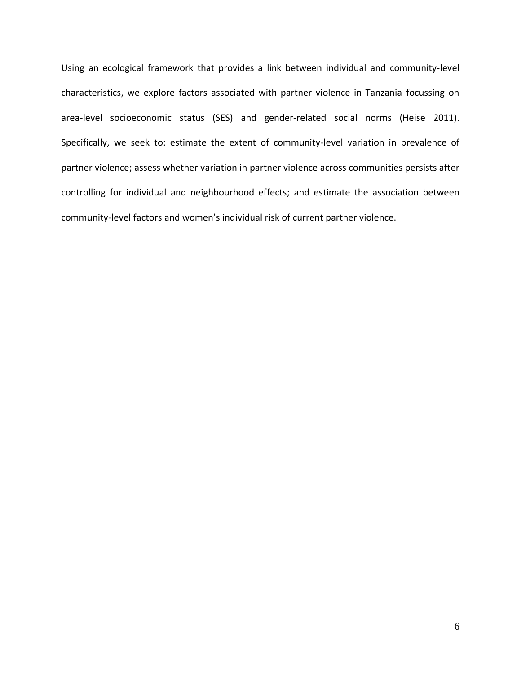Using an ecological framework that provides a link between individual and community-level characteristics, we explore factors associated with partner violence in Tanzania focussing on area-level socioeconomic status (SES) and gender-related social norms (Heise 2011). Specifically, we seek to: estimate the extent of community-level variation in prevalence of partner violence; assess whether variation in partner violence across communities persists after controlling for individual and neighbourhood effects; and estimate the association between community-level factors and women's individual risk of current partner violence.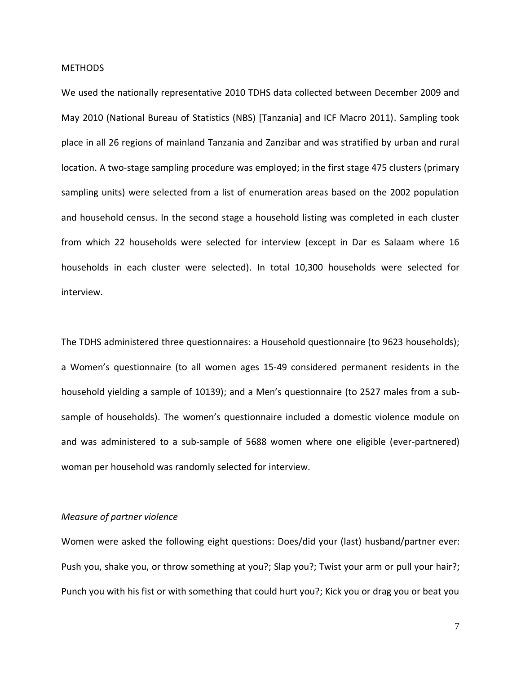### **METHODS**

We used the nationally representative 2010 TDHS data collected between December 2009 and May 2010 (National Bureau of Statistics (NBS) [Tanzania] and ICF Macro 2011). Sampling took place in all 26 regions of mainland Tanzania and Zanzibar and was stratified by urban and rural location. A two-stage sampling procedure was employed; in the first stage 475 clusters (primary sampling units) were selected from a list of enumeration areas based on the 2002 population and household census. In the second stage a household listing was completed in each cluster from which 22 households were selected for interview (except in Dar es Salaam where 16 households in each cluster were selected). In total 10,300 households were selected for interview.

The TDHS administered three questionnaires: a Household questionnaire (to 9623 households); a Women's questionnaire (to all women ages 15-49 considered permanent residents in the household yielding a sample of 10139); and a Men's questionnaire (to 2527 males from a subsample of households). The women's questionnaire included a domestic violence module on and was administered to a sub-sample of 5688 women where one eligible (ever-partnered) woman per household was randomly selected for interview.

# *Measure of partner violence*

Women were asked the following eight questions: Does/did your (last) husband/partner ever: Push you, shake you, or throw something at you?; Slap you?; Twist your arm or pull your hair?; Punch you with his fist or with something that could hurt you?; Kick you or drag you or beat you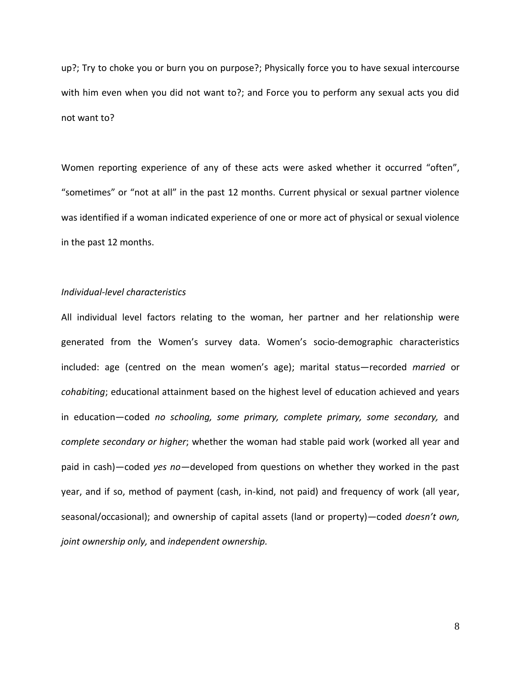up?; Try to choke you or burn you on purpose?; Physically force you to have sexual intercourse with him even when you did not want to?; and Force you to perform any sexual acts you did not want to?

Women reporting experience of any of these acts were asked whether it occurred "often", "sometimes" or "not at all" in the past 12 months. Current physical or sexual partner violence was identified if a woman indicated experience of one or more act of physical or sexual violence in the past 12 months.

# *Individual-level characteristics*

All individual level factors relating to the woman, her partner and her relationship were generated from the Women's survey data. Women's socio-demographic characteristics included: age (centred on the mean women's age); marital status—recorded *married* or *cohabiting*; educational attainment based on the highest level of education achieved and years in education—coded *no schooling, some primary, complete primary, some secondary,* and *complete secondary or higher*; whether the woman had stable paid work (worked all year and paid in cash)—coded *yes no—*developed from questions on whether they worked in the past year, and if so, method of payment (cash, in-kind, not paid) and frequency of work (all year, seasonal/occasional); and ownership of capital assets (land or property)—coded *doesn't own, joint ownership only,* and *independent ownership.*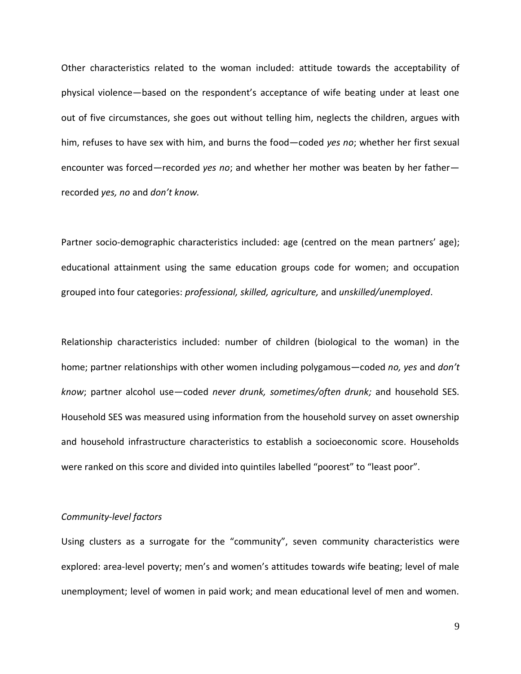Other characteristics related to the woman included: attitude towards the acceptability of physical violence—based on the respondent's acceptance of wife beating under at least one out of five circumstances, she goes out without telling him, neglects the children, argues with him, refuses to have sex with him, and burns the food—coded *yes no*; whether her first sexual encounter was forced—recorded *yes no*; and whether her mother was beaten by her father recorded *yes, no* and *don't know.* 

Partner socio-demographic characteristics included: age (centred on the mean partners' age); educational attainment using the same education groups code for women; and occupation grouped into four categories: *professional, skilled, agriculture,* and *unskilled/unemployed*.

Relationship characteristics included: number of children (biological to the woman) in the home; partner relationships with other women including polygamous—coded *no, yes* and *don't know*; partner alcohol use—coded *never drunk, sometimes/often drunk;* and household SES. Household SES was measured using information from the household survey on asset ownership and household infrastructure characteristics to establish a socioeconomic score. Households were ranked on this score and divided into quintiles labelled "poorest" to "least poor".

# *Community-level factors*

Using clusters as a surrogate for the "community", seven community characteristics were explored: area-level poverty; men's and women's attitudes towards wife beating; level of male unemployment; level of women in paid work; and mean educational level of men and women.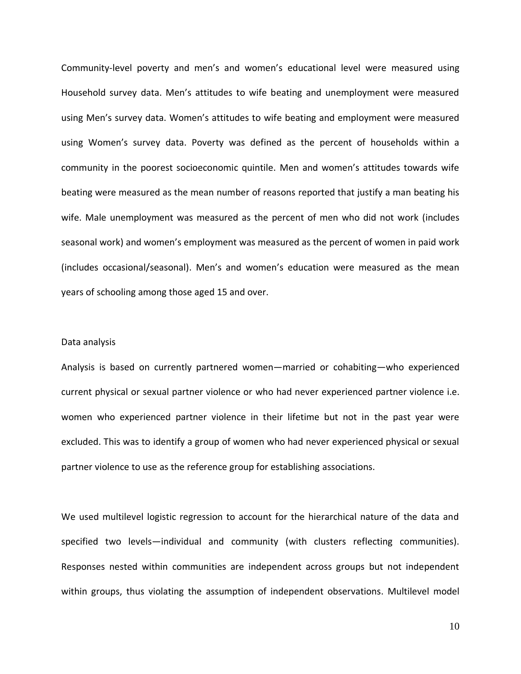Community-level poverty and men's and women's educational level were measured using Household survey data. Men's attitudes to wife beating and unemployment were measured using Men's survey data. Women's attitudes to wife beating and employment were measured using Women's survey data. Poverty was defined as the percent of households within a community in the poorest socioeconomic quintile. Men and women's attitudes towards wife beating were measured as the mean number of reasons reported that justify a man beating his wife. Male unemployment was measured as the percent of men who did not work (includes seasonal work) and women's employment was measured as the percent of women in paid work (includes occasional/seasonal). Men's and women's education were measured as the mean years of schooling among those aged 15 and over.

## Data analysis

Analysis is based on currently partnered women—married or cohabiting—who experienced current physical or sexual partner violence or who had never experienced partner violence i.e. women who experienced partner violence in their lifetime but not in the past year were excluded. This was to identify a group of women who had never experienced physical or sexual partner violence to use as the reference group for establishing associations.

We used multilevel logistic regression to account for the hierarchical nature of the data and specified two levels—individual and community (with clusters reflecting communities). Responses nested within communities are independent across groups but not independent within groups, thus violating the assumption of independent observations. Multilevel model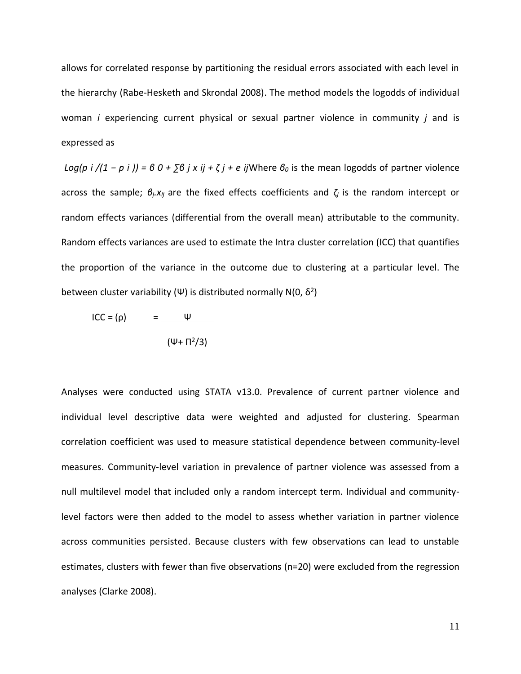allows for correlated response by partitioning the residual errors associated with each level in the hierarchy (Rabe-Hesketh and Skrondal 2008). The method models the logodds of individual woman *i* experiencing current physical or sexual partner violence in community *j* and is expressed as

*Log(p i /(1 − p i )) =*  $60 + \sum 6 j x jj + \zeta j + e i$ *j*Where  $\theta_0$  is the mean logodds of partner violence across the sample; *βj.xij* are the fixed effects coefficients and *ζ<sup>j</sup>* is the random intercept or random effects variances (differential from the overall mean) attributable to the community. Random effects variances are used to estimate the Intra cluster correlation (ICC) that quantifies the proportion of the variance in the outcome due to clustering at a particular level. The between cluster variability (Ψ) is distributed normally N(0,  $\delta^2$ )

$$
\text{ICC} = (\rho) = \frac{\Psi}{(\Psi + \Pi^2/3)}
$$

Analyses were conducted using STATA v13.0. Prevalence of current partner violence and individual level descriptive data were weighted and adjusted for clustering. Spearman correlation coefficient was used to measure statistical dependence between community-level measures. Community-level variation in prevalence of partner violence was assessed from a null multilevel model that included only a random intercept term. Individual and communitylevel factors were then added to the model to assess whether variation in partner violence across communities persisted. Because clusters with few observations can lead to unstable estimates, clusters with fewer than five observations (n=20) were excluded from the regression analyses (Clarke 2008).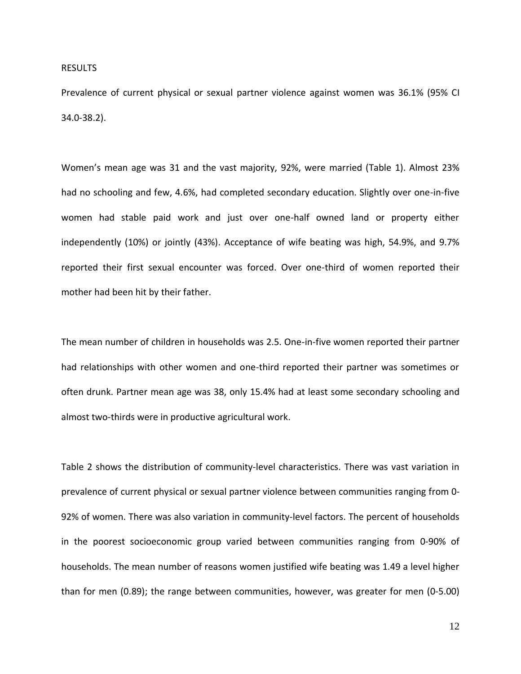### RESULTS

Prevalence of current physical or sexual partner violence against women was 36.1% (95% CI 34.0-38.2).

Women's mean age was 31 and the vast majority, 92%, were married (Table 1). Almost 23% had no schooling and few, 4.6%, had completed secondary education. Slightly over one-in-five women had stable paid work and just over one-half owned land or property either independently (10%) or jointly (43%). Acceptance of wife beating was high, 54.9%, and 9.7% reported their first sexual encounter was forced. Over one-third of women reported their mother had been hit by their father.

The mean number of children in households was 2.5. One-in-five women reported their partner had relationships with other women and one-third reported their partner was sometimes or often drunk. Partner mean age was 38, only 15.4% had at least some secondary schooling and almost two-thirds were in productive agricultural work.

Table 2 shows the distribution of community-level characteristics. There was vast variation in prevalence of current physical or sexual partner violence between communities ranging from 0- 92% of women. There was also variation in community-level factors. The percent of households in the poorest socioeconomic group varied between communities ranging from 0-90% of households. The mean number of reasons women justified wife beating was 1.49 a level higher than for men (0.89); the range between communities, however, was greater for men (0-5.00)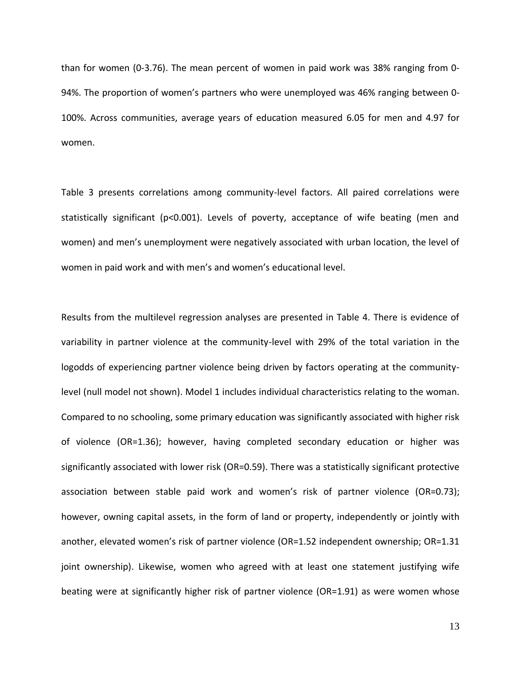than for women (0-3.76). The mean percent of women in paid work was 38% ranging from 0- 94%. The proportion of women's partners who were unemployed was 46% ranging between 0- 100%. Across communities, average years of education measured 6.05 for men and 4.97 for women.

Table 3 presents correlations among community-level factors. All paired correlations were statistically significant (p<0.001). Levels of poverty, acceptance of wife beating (men and women) and men's unemployment were negatively associated with urban location, the level of women in paid work and with men's and women's educational level.

Results from the multilevel regression analyses are presented in Table 4. There is evidence of variability in partner violence at the community-level with 29% of the total variation in the logodds of experiencing partner violence being driven by factors operating at the communitylevel (null model not shown). Model 1 includes individual characteristics relating to the woman. Compared to no schooling, some primary education was significantly associated with higher risk of violence (OR=1.36); however, having completed secondary education or higher was significantly associated with lower risk (OR=0.59). There was a statistically significant protective association between stable paid work and women's risk of partner violence (OR=0.73); however, owning capital assets, in the form of land or property, independently or jointly with another, elevated women's risk of partner violence (OR=1.52 independent ownership; OR=1.31 joint ownership). Likewise, women who agreed with at least one statement justifying wife beating were at significantly higher risk of partner violence (OR=1.91) as were women whose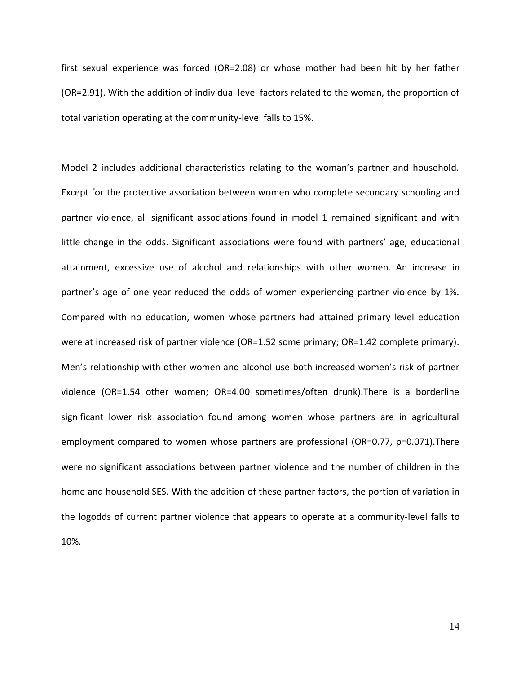first sexual experience was forced (OR=2.08) or whose mother had been hit by her father (OR=2.91). With the addition of individual level factors related to the woman, the proportion of total variation operating at the community-level falls to 15%.

Model 2 includes additional characteristics relating to the woman's partner and household. Except for the protective association between women who complete secondary schooling and partner violence, all significant associations found in model 1 remained significant and with little change in the odds. Significant associations were found with partners' age, educational attainment, excessive use of alcohol and relationships with other women. An increase in partner's age of one year reduced the odds of women experiencing partner violence by 1%. Compared with no education, women whose partners had attained primary level education were at increased risk of partner violence (OR=1.52 some primary; OR=1.42 complete primary). Men's relationship with other women and alcohol use both increased women's risk of partner violence (OR=1.54 other women; OR=4.00 sometimes/often drunk).There is a borderline significant lower risk association found among women whose partners are in agricultural employment compared to women whose partners are professional (OR=0.77, p=0.071).There were no significant associations between partner violence and the number of children in the home and household SES. With the addition of these partner factors, the portion of variation in the logodds of current partner violence that appears to operate at a community-level falls to 10%.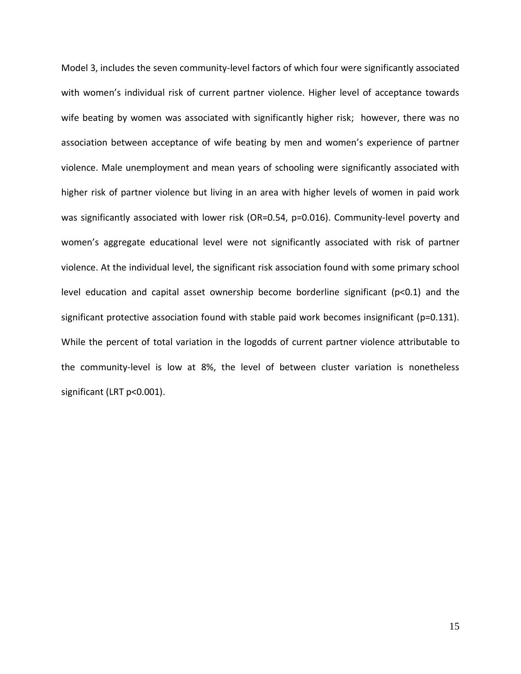Model 3, includes the seven community-level factors of which four were significantly associated with women's individual risk of current partner violence. Higher level of acceptance towards wife beating by women was associated with significantly higher risk; however, there was no association between acceptance of wife beating by men and women's experience of partner violence. Male unemployment and mean years of schooling were significantly associated with higher risk of partner violence but living in an area with higher levels of women in paid work was significantly associated with lower risk (OR=0.54, p=0.016). Community-level poverty and women's aggregate educational level were not significantly associated with risk of partner violence. At the individual level, the significant risk association found with some primary school level education and capital asset ownership become borderline significant (p<0.1) and the significant protective association found with stable paid work becomes insignificant ( $p=0.131$ ). While the percent of total variation in the logodds of current partner violence attributable to the community-level is low at 8%, the level of between cluster variation is nonetheless significant (LRT p<0.001).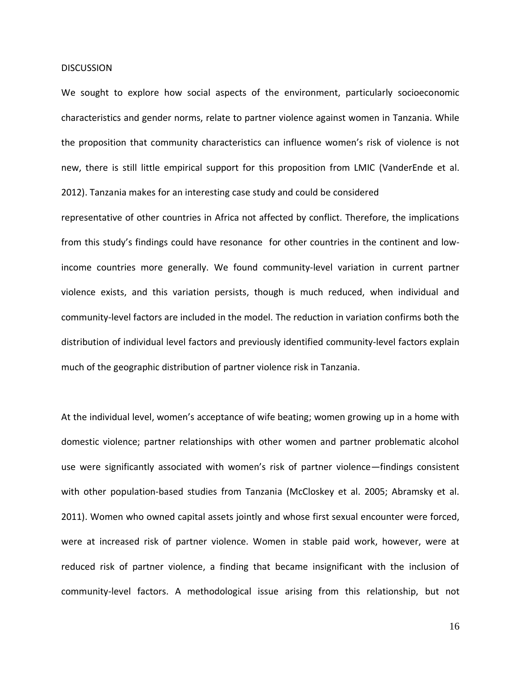### **DISCUSSION**

We sought to explore how social aspects of the environment, particularly socioeconomic characteristics and gender norms, relate to partner violence against women in Tanzania. While the proposition that community characteristics can influence women's risk of violence is not new, there is still little empirical support for this proposition from LMIC (VanderEnde et al. 2012). Tanzania makes for an interesting case study and could be considered

representative of other countries in Africa not affected by conflict. Therefore, the implications from this study's findings could have resonance for other countries in the continent and lowincome countries more generally. We found community-level variation in current partner violence exists, and this variation persists, though is much reduced, when individual and community-level factors are included in the model. The reduction in variation confirms both the distribution of individual level factors and previously identified community-level factors explain much of the geographic distribution of partner violence risk in Tanzania.

At the individual level, women's acceptance of wife beating; women growing up in a home with domestic violence; partner relationships with other women and partner problematic alcohol use were significantly associated with women's risk of partner violence—findings consistent with other population-based studies from Tanzania (McCloskey et al. 2005; Abramsky et al. 2011). Women who owned capital assets jointly and whose first sexual encounter were forced, were at increased risk of partner violence. Women in stable paid work, however, were at reduced risk of partner violence, a finding that became insignificant with the inclusion of community-level factors. A methodological issue arising from this relationship, but not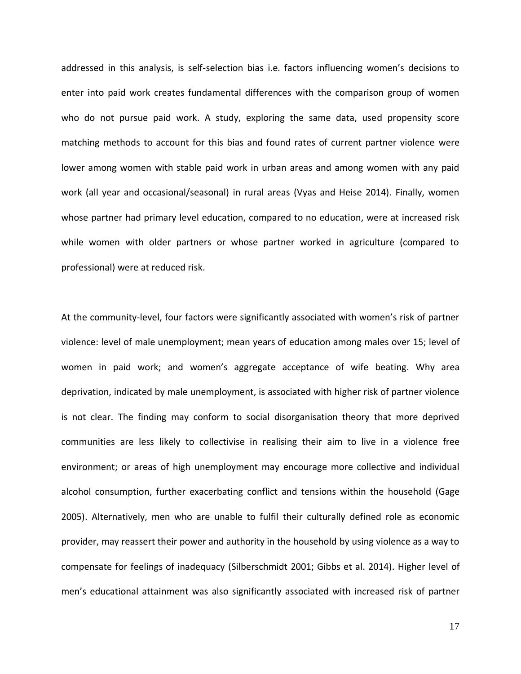addressed in this analysis, is self-selection bias i.e. factors influencing women's decisions to enter into paid work creates fundamental differences with the comparison group of women who do not pursue paid work. A study, exploring the same data, used propensity score matching methods to account for this bias and found rates of current partner violence were lower among women with stable paid work in urban areas and among women with any paid work (all year and occasional/seasonal) in rural areas (Vyas and Heise 2014). Finally, women whose partner had primary level education, compared to no education, were at increased risk while women with older partners or whose partner worked in agriculture (compared to professional) were at reduced risk.

At the community-level, four factors were significantly associated with women's risk of partner violence: level of male unemployment; mean years of education among males over 15; level of women in paid work; and women's aggregate acceptance of wife beating. Why area deprivation, indicated by male unemployment, is associated with higher risk of partner violence is not clear. The finding may conform to social disorganisation theory that more deprived communities are less likely to collectivise in realising their aim to live in a violence free environment; or areas of high unemployment may encourage more collective and individual alcohol consumption, further exacerbating conflict and tensions within the household (Gage 2005). Alternatively, men who are unable to fulfil their culturally defined role as economic provider, may reassert their power and authority in the household by using violence as a way to compensate for feelings of inadequacy (Silberschmidt 2001; Gibbs et al. 2014). Higher level of men's educational attainment was also significantly associated with increased risk of partner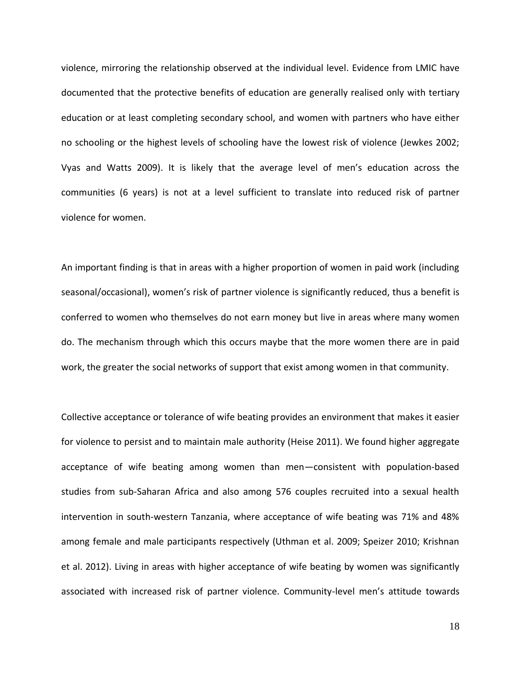violence, mirroring the relationship observed at the individual level. Evidence from LMIC have documented that the protective benefits of education are generally realised only with tertiary education or at least completing secondary school, and women with partners who have either no schooling or the highest levels of schooling have the lowest risk of violence (Jewkes 2002; Vyas and Watts 2009). It is likely that the average level of men's education across the communities (6 years) is not at a level sufficient to translate into reduced risk of partner violence for women.

An important finding is that in areas with a higher proportion of women in paid work (including seasonal/occasional), women's risk of partner violence is significantly reduced, thus a benefit is conferred to women who themselves do not earn money but live in areas where many women do. The mechanism through which this occurs maybe that the more women there are in paid work, the greater the social networks of support that exist among women in that community.

Collective acceptance or tolerance of wife beating provides an environment that makes it easier for violence to persist and to maintain male authority (Heise 2011). We found higher aggregate acceptance of wife beating among women than men—consistent with population-based studies from sub-Saharan Africa and also among 576 couples recruited into a sexual health intervention in south-western Tanzania, where acceptance of wife beating was 71% and 48% among female and male participants respectively (Uthman et al. 2009; Speizer 2010; Krishnan et al. 2012). Living in areas with higher acceptance of wife beating by women was significantly associated with increased risk of partner violence. Community-level men's attitude towards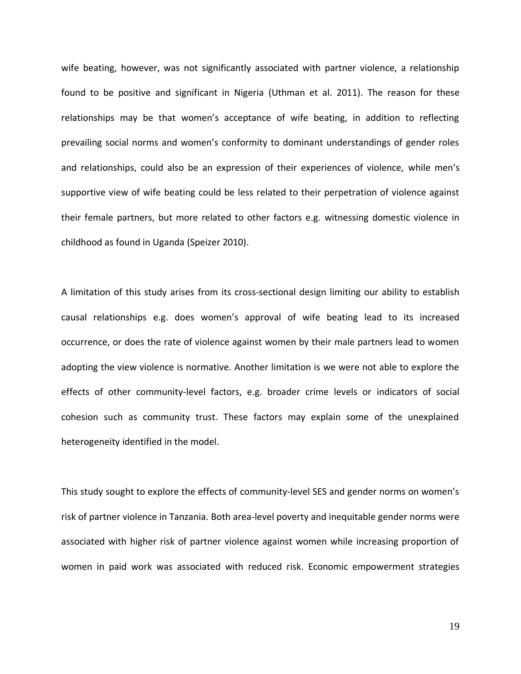wife beating, however, was not significantly associated with partner violence, a relationship found to be positive and significant in Nigeria (Uthman et al. 2011). The reason for these relationships may be that women's acceptance of wife beating, in addition to reflecting prevailing social norms and women's conformity to dominant understandings of gender roles and relationships, could also be an expression of their experiences of violence*,* while men's supportive view of wife beating could be less related to their perpetration of violence against their female partners, but more related to other factors e.g. witnessing domestic violence in childhood as found in Uganda (Speizer 2010).

A limitation of this study arises from its cross-sectional design limiting our ability to establish causal relationships e.g. does women's approval of wife beating lead to its increased occurrence, or does the rate of violence against women by their male partners lead to women adopting the view violence is normative. Another limitation is we were not able to explore the effects of other community-level factors, e.g. broader crime levels or indicators of social cohesion such as community trust. These factors may explain some of the unexplained heterogeneity identified in the model.

This study sought to explore the effects of community-level SES and gender norms on women's risk of partner violence in Tanzania. Both area-level poverty and inequitable gender norms were associated with higher risk of partner violence against women while increasing proportion of women in paid work was associated with reduced risk. Economic empowerment strategies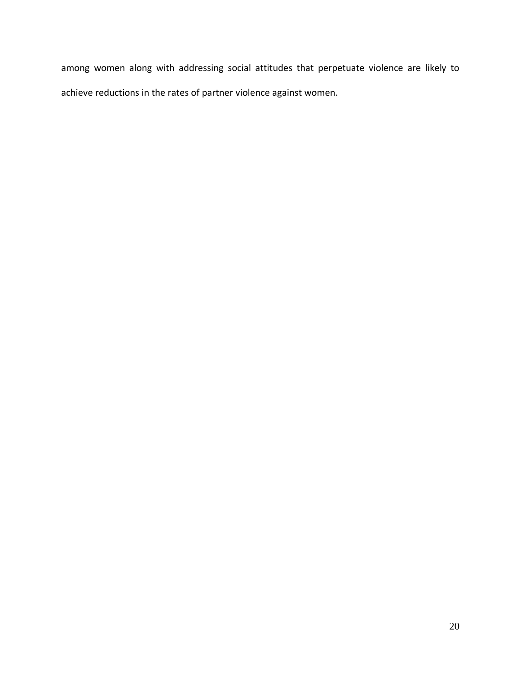among women along with addressing social attitudes that perpetuate violence are likely to achieve reductions in the rates of partner violence against women.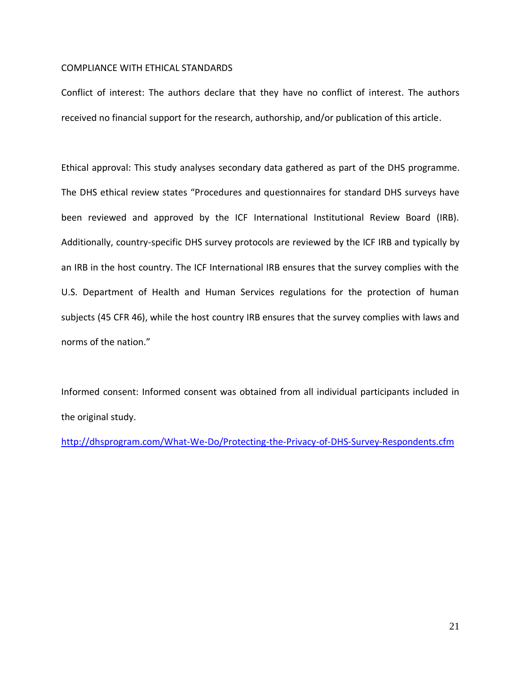## COMPLIANCE WITH ETHICAL STANDARDS

Conflict of interest: The authors declare that they have no conflict of interest. The authors received no financial support for the research, authorship, and/or publication of this article.

Ethical approval: This study analyses secondary data gathered as part of the DHS programme. The DHS ethical review states "Procedures and questionnaires for standard DHS surveys have been reviewed and approved by the ICF International Institutional Review Board (IRB). Additionally, country-specific DHS survey protocols are reviewed by the ICF IRB and typically by an IRB in the host country. The ICF International IRB ensures that the survey complies with the U.S. Department of Health and Human Services regulations for the protection of human subjects (45 CFR 46), while the host country IRB ensures that the survey complies with laws and norms of the nation."

Informed consent: Informed consent was obtained from all individual participants included in the original study.

<http://dhsprogram.com/What-We-Do/Protecting-the-Privacy-of-DHS-Survey-Respondents.cfm>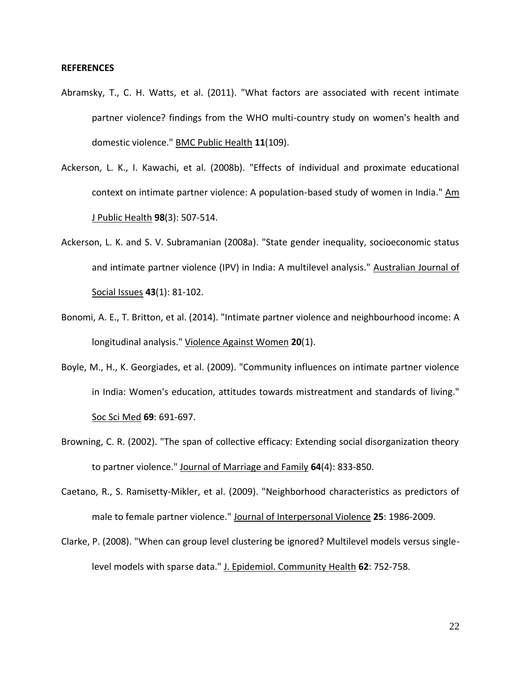### **REFERENCES**

- Abramsky, T., C. H. Watts, et al. (2011). "What factors are associated with recent intimate partner violence? findings from the WHO multi-country study on women's health and domestic violence." BMC Public Health **11**(109).
- Ackerson, L. K., I. Kawachi, et al. (2008b). "Effects of individual and proximate educational context on intimate partner violence: A population-based study of women in India." Am J Public Health **98**(3): 507-514.
- Ackerson, L. K. and S. V. Subramanian (2008a). "State gender inequality, socioeconomic status and intimate partner violence (IPV) in India: A multilevel analysis." Australian Journal of Social Issues **43**(1): 81-102.
- Bonomi, A. E., T. Britton, et al. (2014). "Intimate partner violence and neighbourhood income: A longitudinal analysis." Violence Against Women **20**(1).
- Boyle, M., H., K. Georgiades, et al. (2009). "Community influences on intimate partner violence in India: Women's education, attitudes towards mistreatment and standards of living." Soc Sci Med **69**: 691-697.
- Browning, C. R. (2002). "The span of collective efficacy: Extending social disorganization theory to partner violence." Journal of Marriage and Family **64**(4): 833-850.
- Caetano, R., S. Ramisetty-Mikler, et al. (2009). "Neighborhood characteristics as predictors of male to female partner violence." Journal of Interpersonal Violence **25**: 1986-2009.
- Clarke, P. (2008). "When can group level clustering be ignored? Multilevel models versus singlelevel models with sparse data." J. Epidemiol. Community Health **62**: 752-758.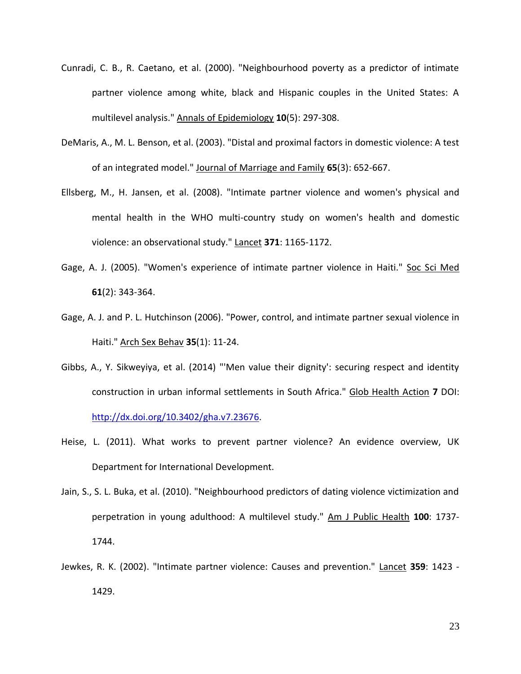- Cunradi, C. B., R. Caetano, et al. (2000). "Neighbourhood poverty as a predictor of intimate partner violence among white, black and Hispanic couples in the United States: A multilevel analysis." Annals of Epidemiology **10**(5): 297-308.
- DeMaris, A., M. L. Benson, et al. (2003). "Distal and proximal factors in domestic violence: A test of an integrated model." Journal of Marriage and Family **65**(3): 652-667.
- Ellsberg, M., H. Jansen, et al. (2008). "Intimate partner violence and women's physical and mental health in the WHO multi-country study on women's health and domestic violence: an observational study." Lancet **371**: 1165-1172.
- Gage, A. J. (2005). "Women's experience of intimate partner violence in Haiti." Soc Sci Med **61**(2): 343-364.
- Gage, A. J. and P. L. Hutchinson (2006). "Power, control, and intimate partner sexual violence in Haiti." Arch Sex Behav **35**(1): 11-24.
- Gibbs, A., Y. Sikweyiya, et al. (2014) "'Men value their dignity': securing respect and identity construction in urban informal settlements in South Africa." Glob Health Action **7** DOI: [http://dx.doi.org/10.3402/gha.v7.23676.](http://dx.doi.org/10.3402/gha.v7.23676)
- Heise, L. (2011). What works to prevent partner violence? An evidence overview, UK Department for International Development.
- Jain, S., S. L. Buka, et al. (2010). "Neighbourhood predictors of dating violence victimization and perpetration in young adulthood: A multilevel study." Am J Public Health **100**: 1737- 1744.
- Jewkes, R. K. (2002). "Intimate partner violence: Causes and prevention." Lancet **359**: 1423 1429.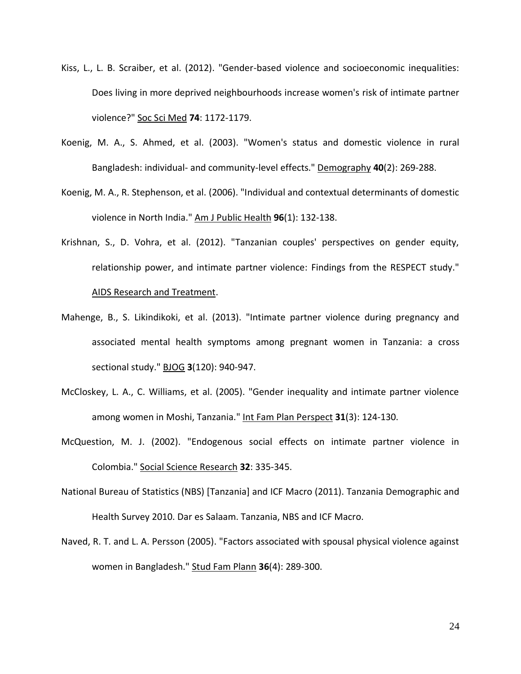- Kiss, L., L. B. Scraiber, et al. (2012). "Gender-based violence and socioeconomic inequalities: Does living in more deprived neighbourhoods increase women's risk of intimate partner violence?" Soc Sci Med **74**: 1172-1179.
- Koenig, M. A., S. Ahmed, et al. (2003). "Women's status and domestic violence in rural Bangladesh: individual- and community-level effects." Demography **40**(2): 269-288.
- Koenig, M. A., R. Stephenson, et al. (2006). "Individual and contextual determinants of domestic violence in North India." Am J Public Health **96**(1): 132-138.
- Krishnan, S., D. Vohra, et al. (2012). "Tanzanian couples' perspectives on gender equity, relationship power, and intimate partner violence: Findings from the RESPECT study." AIDS Research and Treatment.
- Mahenge, B., S. Likindikoki, et al. (2013). "Intimate partner violence during pregnancy and associated mental health symptoms among pregnant women in Tanzania: a cross sectional study." BJOG **3**(120): 940-947.
- McCloskey, L. A., C. Williams, et al. (2005). "Gender inequality and intimate partner violence among women in Moshi, Tanzania." Int Fam Plan Perspect **31**(3): 124-130.
- McQuestion, M. J. (2002). "Endogenous social effects on intimate partner violence in Colombia." Social Science Research **32**: 335-345.
- National Bureau of Statistics (NBS) [Tanzania] and ICF Macro (2011). Tanzania Demographic and Health Survey 2010. Dar es Salaam. Tanzania, NBS and ICF Macro.
- Naved, R. T. and L. A. Persson (2005). "Factors associated with spousal physical violence against women in Bangladesh." Stud Fam Plann **36**(4): 289-300.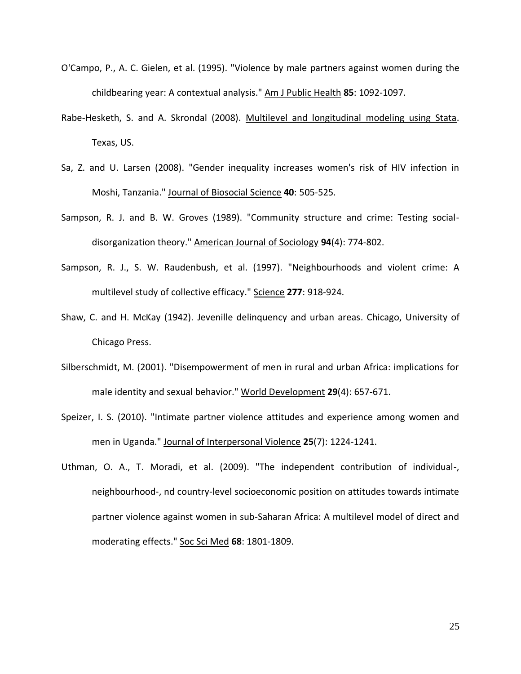- O'Campo, P., A. C. Gielen, et al. (1995). "Violence by male partners against women during the childbearing year: A contextual analysis." Am J Public Health **85**: 1092-1097.
- Rabe-Hesketh, S. and A. Skrondal (2008). Multilevel and longitudinal modeling using Stata. Texas, US.
- Sa, Z. and U. Larsen (2008). "Gender inequality increases women's risk of HIV infection in Moshi, Tanzania." Journal of Biosocial Science **40**: 505-525.
- Sampson, R. J. and B. W. Groves (1989). "Community structure and crime: Testing socialdisorganization theory." American Journal of Sociology **94**(4): 774-802.
- Sampson, R. J., S. W. Raudenbush, et al. (1997). "Neighbourhoods and violent crime: A multilevel study of collective efficacy." Science **277**: 918-924.
- Shaw, C. and H. McKay (1942). Jevenille delinquency and urban areas. Chicago, University of Chicago Press.
- Silberschmidt, M. (2001). "Disempowerment of men in rural and urban Africa: implications for male identity and sexual behavior." World Development **29**(4): 657-671.
- Speizer, I. S. (2010). "Intimate partner violence attitudes and experience among women and men in Uganda." Journal of Interpersonal Violence **25**(7): 1224-1241.
- Uthman, O. A., T. Moradi, et al. (2009). "The independent contribution of individual-, neighbourhood-, nd country-level socioeconomic position on attitudes towards intimate partner violence against women in sub-Saharan Africa: A multilevel model of direct and moderating effects." Soc Sci Med **68**: 1801-1809.